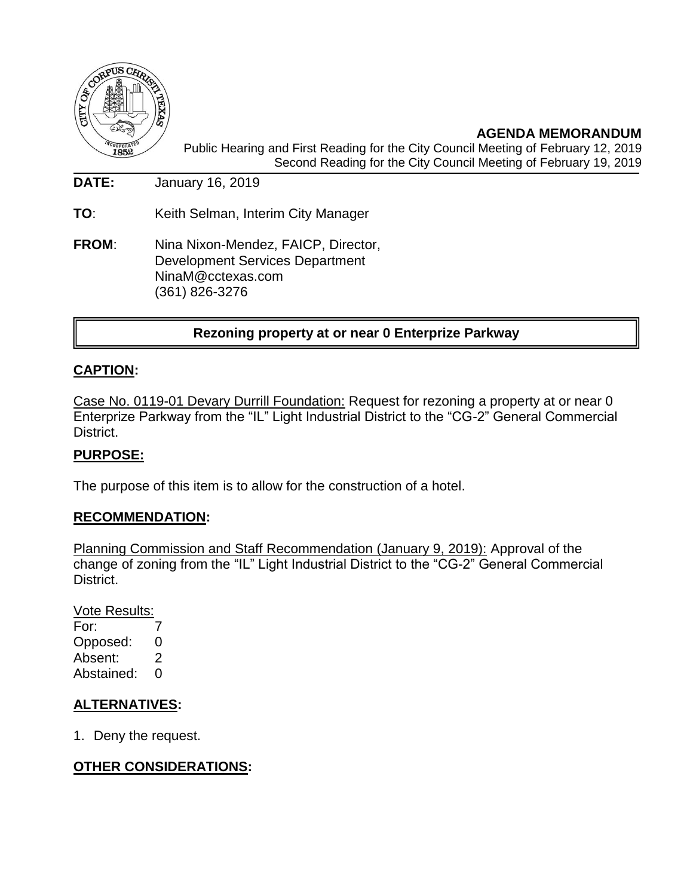

**AGENDA MEMORANDUM** Public Hearing and First Reading for the City Council Meeting of February 12, 2019 Second Reading for the City Council Meeting of February 19, 2019

**DATE:** January 16, 2019

**TO**: Keith Selman, Interim City Manager

**FROM**: Nina Nixon-Mendez, FAICP, Director, Development Services Department NinaM@cctexas.com (361) 826-3276

## **Rezoning property at or near 0 Enterprize Parkway**

### **CAPTION:**

Case No. 0119-01 Devary Durrill Foundation: Request for rezoning a property at or near 0 Enterprize Parkway from the "IL" Light Industrial District to the "CG-2" General Commercial District.

### **PURPOSE:**

The purpose of this item is to allow for the construction of a hotel.

#### **RECOMMENDATION:**

Planning Commission and Staff Recommendation (January 9, 2019): Approval of the change of zoning from the "IL" Light Industrial District to the "CG-2" General Commercial District.

Vote Results: For: 7 Opposed: 0 Absent: 2 Abstained: 0

## **ALTERNATIVES:**

1. Deny the request.

### **OTHER CONSIDERATIONS:**